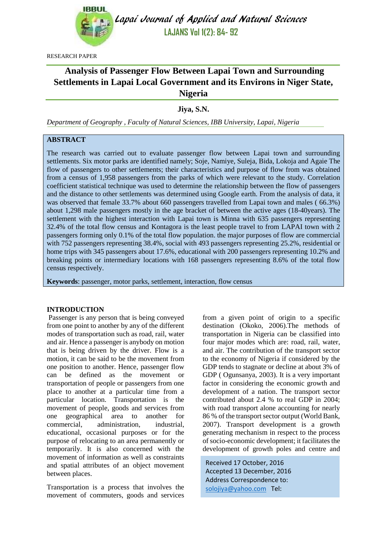

Lapai Journal of Applied and Natural Sciences **LAJANS Vol 1(2): 84- 92**

RESEARCH PAPER

# **Analysis of Passenger Flow Between Lapai Town and Surrounding Settlements in Lapai Local Government and its Environs in Niger State, Nigeria**

**Jiya, S.N.**

*Department of Geography , Faculty of Natural Sciences, IBB University, Lapai, Nigeria*

# **ABSTRACT**

The research was carried out to evaluate passenger flow between Lapai town and surrounding settlements. Six motor parks are identified namely; Soje, Namiye, Suleja, Bida, Lokoja and Agaie The flow of passengers to other settlements; their characteristics and purpose of flow from was obtained from a census of 1,958 passengers from the parks of which were relevant to the study. Correlation coefficient statistical technique was used to determine the relationship between the flow of passengers and the distance to other settlements was determined using Google earth. From the analysis of data, it was observed that female 33.7% about 660 passengers travelled from Lapai town and males ( 66.3%) about 1,298 male passengers mostly in the age bracket of between the active ages (18-40years). The settlement with the highest interaction with Lapai town is Minna with 635 passengers representing 32.4% of the total flow census and Kontagora is the least people travel to from LAPAI town with 2 passengers forming only 0.1% of the total flow population. the major purposes of flow are commercial with 752 passengers representing 38.4%, social with 493 passengers representing 25.2%, residential or home trips with 345 passengers about 17.6%, educational with 200 passengers representing 10.2% and breaking points or intermediary locations with 168 passengers representing 8.6% of the total flow census respectively.

**Keywords**: passenger, motor parks, settlement, interaction, flow census

#### **INTRODUCTION**

Passenger is any person that is being conveyed from one point to another by any of the different modes of transportation such as road, rail, water and air. Hence a passenger is anybody on motion that is being driven by the driver. Flow is a motion, it can be said to be the movement from one position to another. Hence, passenger flow can be defined as the movement or transportation of people or passengers from one place to another at a particular time from a particular location. Transportation is the movement of people, goods and services from one geographical area to another for commercial, administration, industrial, educational, occasional purposes or for the purpose of relocating to an area permanently or temporarily. It is also concerned with the movement of information as well as constraints and spatial attributes of an object movement between places.

Transportation is a process that involves the movement of commuters, goods and services from a given point of origin to a specific destination (Okoko, 2006).The methods of transportation in Nigeria can be classified into four major modes which are: road, rail, water, and air. The contribution of the transport sector to the economy of Nigeria if considered by the GDP tends to stagnate or decline at about 3% of GDP ( Ogunsanya, 2003). It is a very important factor in considering the economic growth and development of a nation. The transport sector contributed about 2.4 % to real GDP in 2004; with road transport alone accounting for nearly 86 % of the transport sector output (World Bank, 2007). Transport development is a growth generating mechanism in respect to the process of socio-economic development; it facilitates the development of growth poles and centre and

Received 17 October, 2016 Accepted 13 December, 2016 Address Correspondence to: [solojiya@yahoo.com](mailto:solojiya@yahoo.com) Tel: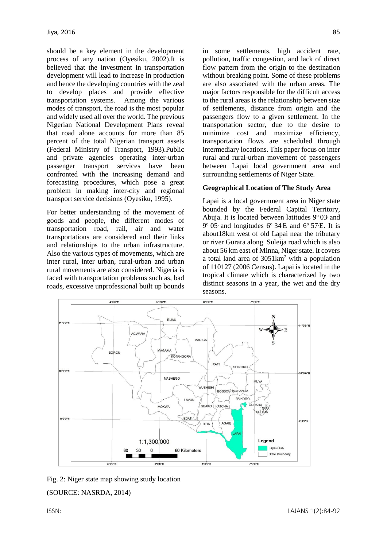should be a key element in the development process of any nation (Oyesiku, 2002).It is believed that the investment in transportation development will lead to increase in production and hence the developing countries with the zeal to develop places and provide effective transportation systems. Among the various modes of transport, the road is the most popular and widely used all over the world. The previous Nigerian National Development Plans reveal that road alone accounts for more than 85 percent of the total Nigerian transport assets (Federal Ministry of Transport, 1993).Public and private agencies operating inter-urban passenger transport services have been confronted with the increasing demand and forecasting procedures, which pose a great problem in making inter-city and regional transport service decisions (Oyesiku, 1995).

For better understanding of the movement of goods and people, the different modes of transportation road, rail, air and water transportations are considered and their links and relationships to the urban infrastructure. Also the various types of movements, which are inter rural, inter urban, rural-urban and urban rural movements are also considered. Nigeria is faced with transportation problems such as, bad roads, excessive unprofessional built up bounds

in some settlements, high accident rate, pollution, traffic congestion, and lack of direct flow pattern from the origin to the destination without breaking point. Some of these problems are also associated with the urban areas. The major factors responsible for the difficult access to the rural areas is the relationship between size of settlements, distance from origin and the passengers flow to a given settlement. In the transportation sector, due to the desire to minimize cost and maximize efficiency, transportation flows are scheduled through intermediary locations. This paper focus on inter rural and rural-urban movement of passengers between Lapai local government area and surrounding settlements of Niger State.

#### **Geographical Location of The Study Area**

Lapai is a local government area in Niger state bounded by the Federal Capital Territory, Abuja. It is located between latitudes  $9^{\circ}$  03 and  $9^{\circ}$  05<sup>,</sup> and longitudes  $6^{\circ}$  34<sup>E</sup> and  $6^{\circ}$  57<sup>F</sup>. It is about18km west of old Lapai near the tributary or river Gurara along Suleija road which is also about 56 km east of Minna, Niger state. It covers a total land area of 3051km<sup>2</sup> with a population of 110127 (2006 Census). Lapai is located in the tropical climate which is characterized by two distinct seasons in a year, the wet and the dry seasons.



Fig. 2: Niger state map showing study location (SOURCE: NASRDA, 2014)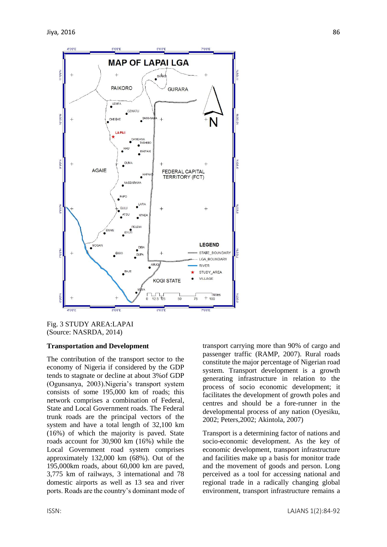

Fig. 3 STUDY AREA:LAPAI (Source: NASRDA, 2014)

#### **Transportation and Development**

The contribution of the transport sector to the economy of Nigeria if considered by the GDP tends to stagnate or decline at about 3%of GDP (Ogunsanya, 2003).Nigeria's transport system consists of some 195,000 km of roads; this network comprises a combination of Federal, State and Local Government roads. The Federal trunk roads are the principal vectors of the system and have a total length of 32,100 km (16%) of which the majority is paved. State roads account for 30,900 km (16%) while the Local Government road system comprises approximately 132,000 km (68%). Out of the 195,000km roads, about 60,000 km are paved, 3,775 km of railways, 3 international and 78 domestic airports as well as 13 sea and river ports. Roads are the country's dominant mode of transport carrying more than 90% of cargo and passenger traffic (RAMP, 2007). Rural roads constitute the major percentage of Nigerian road system. Transport development is a growth generating infrastructure in relation to the process of socio economic development; it facilitates the development of growth poles and centres and should be a fore-runner in the developmental process of any nation (Oyesiku, 2002; Peters,2002; Akintola, 2007)

Transport is a determining factor of nations and socio-economic development. As the key of economic development, transport infrastructure and facilities make up a basis for monitor trade and the movement of goods and person. Long perceived as a tool for accessing national and regional trade in a radically changing global environment, transport infrastructure remains a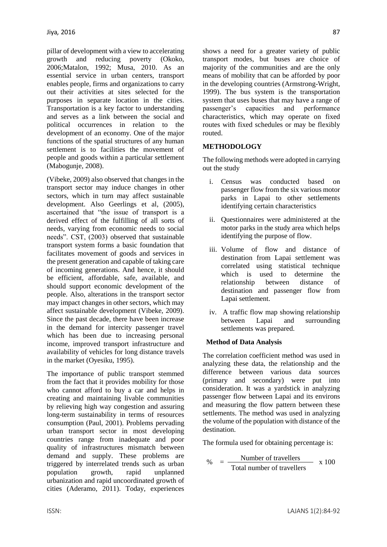pillar of development with a view to accelerating growth and reducing poverty (Okoko, 2006;Matalon, 1992; Musa, 2010. As an essential service in urban centers, transport enables people, firms and organizations to carry out their activities at sites selected for the purposes in separate location in the cities. Transportation is a key factor to understanding and serves as a link between the social and political occurrences in relation to the development of an economy. One of the major functions of the spatial structures of any human settlement is to facilities the movement of people and goods within a particular settlement (Mabogunje, 2008).

(Vibeke, 2009) also observed that changes in the transport sector may induce changes in other sectors, which in turn may affect sustainable development. Also Geerlings et al, (2005), ascertained that "the issue of transport is a derived effect of the fulfilling of all sorts of needs, varying from economic needs to social needs". CST, (2003) observed that sustainable transport system forms a basic foundation that facilitates movement of goods and services in the present generation and capable of taking care of incoming generations. And hence, it should be efficient, affordable, safe, available, and should support economic development of the people. Also, alterations in the transport sector may impact changes in other sectors, which may affect sustainable development (Vibeke, 2009). Since the past decade, there have been increase in the demand for intercity passenger travel which has been due to increasing personal income, improved transport infrastructure and availability of vehicles for long distance travels in the market (Oyesiku, 1995).

The importance of public transport stemmed from the fact that it provides mobility for those who cannot afford to buy a car and helps in creating and maintaining livable communities by relieving high way congestion and assuring long-term sustainability in terms of resources consumption (Paul, 2001). Problems pervading urban transport sector in most developing countries range from inadequate and poor quality of infrastructures mismatch between demand and supply. These problems are triggered by interrelated trends such as urban population growth, rapid unplanned urbanization and rapid uncoordinated growth of cities (Aderamo, 2011). Today, experiences

shows a need for a greater variety of public transport modes, but buses are choice of majority of the communities and are the only means of mobility that can be afforded by poor in the developing countries (Armstrong-Wright, 1999). The bus system is the transportation system that uses buses that may have a range of passenger's capacities and performance characteristics, which may operate on fixed routes with fixed schedules or may be flexibly routed.

# **METHODOLOGY**

The following methods were adopted in carrying out the study

- i. Census was conducted based on passenger flow from the six various motor parks in Lapai to other settlements identifying certain characteristics
- ii. Questionnaires were administered at the motor parks in the study area which helps identifying the purpose of flow.
- iii. Volume of flow and distance of destination from Lapai settlement was correlated using statistical technique which is used to determine the relationship between distance of destination and passenger flow from Lapai settlement.
- iv. A traffic flow map showing relationship between Lapai and surrounding settlements was prepared.

#### **Method of Data Analysis**

The correlation coefficient method was used in analyzing these data, the relationship and the difference between various data sources (primary and secondary) were put into consideration. It was a yardstick in analyzing passenger flow between Lapai and its environs and measuring the flow pattern between these settlements. The method was used in analyzing the volume of the population with distance of the destination.

The formula used for obtaining percentage is:

$$
\% = \frac{\text{Number of travellers}}{\text{Total number of travellers}} \times 100
$$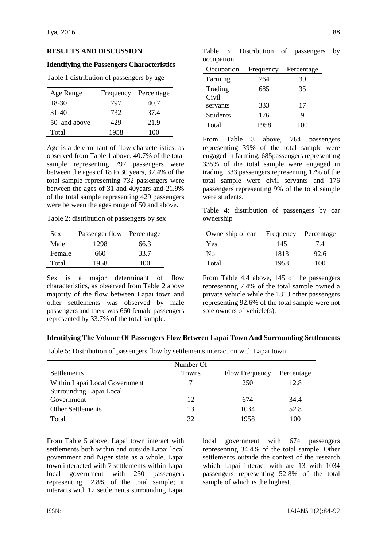#### **RESULTS AND DISCUSSION**

#### **Identifying the Passengers Characteristics**

Table 1 distribution of passengers by age

| Age Range    | Frequency | Percentage |
|--------------|-----------|------------|
| 18-30        | 797       | 40.7       |
| $31-40$      | 732       | 37.4       |
| 50 and above | 429       | 21.9       |
| Total        | 1958      | 100        |

Age is a determinant of flow characteristics, as observed from Table 1 above, 40.7% of the total sample representing 797 passengers were between the ages of 18 to 30 years, 37.4% of the total sample representing 732 passengers were between the ages of 31 and 40years and 21.9% of the total sample representing 429 passengers were between the ages range of 50 and above.

Table 2: distribution of passengers by sex

| <b>Sex</b> | Passenger flow Percentage |      |
|------------|---------------------------|------|
| Male       | 1298                      | 66.3 |
| Female     | 660                       | 33.7 |
| Total      | 1958                      | 100  |

Sex is a major determinant of flow characteristics, as observed from Table 2 above majority of the flow between Lapai town and other settlements was observed by male passengers and there was 660 female passengers represented by 33.7% of the total sample.

Table 3: Distribution of passengers by occupation

| Occupation      | Frequency | Percentage |
|-----------------|-----------|------------|
| Farming         | 764       | 39         |
| Trading         | 685       | 35         |
| Civil           |           |            |
| servants        | 333       | 17         |
| <b>Students</b> | 176       | 9          |
| Total           | 1958      | 100        |

From Table 3 above, 764 passengers representing 39% of the total sample were engaged in farming, 685passengers representing 335% of the total sample were engaged in trading, 333 passengers representing 17% of the total sample were civil servants and 176 passengers representing 9% of the total sample were students.

Table 4: distribution of passengers by car ownership

| Ownership of car | Frequency | Percentage |
|------------------|-----------|------------|
| Yes              | 145       | 7.4        |
| Nο               | 1813      | 92.6       |
| Total            | 1958      | 100        |

From Table 4.4 above, 145 of the passengers representing 7.4% of the total sample owned a private vehicle while the 1813 other passengers representing 92.6% of the total sample were not sole owners of vehicle(s).

## **Identifying The Volume Of Passengers Flow Between Lapai Town And Surrounding Settlements**

Table 5: Distribution of passengers flow by settlements interaction with Lapai town

|                               | Number Of |                       |            |
|-------------------------------|-----------|-----------------------|------------|
| Settlements                   | Towns     | <b>Flow Frequency</b> | Percentage |
| Within Lapai Local Government |           | 250                   | 12.8       |
| Surrounding Lapai Local       |           |                       |            |
| Government                    | 12        | 674                   | 34.4       |
| <b>Other Settlements</b>      | 13        | 1034                  | 52.8       |
| Total                         | 32        | 1958                  | 100        |

From Table 5 above, Lapai town interact with settlements both within and outside Lapai local government and Niger state as a whole. Lapai town interacted with 7 settlements within Lapai local government with 250 passengers representing 12.8% of the total sample; it interacts with 12 settlements surrounding Lapai

local government with 674 passengers representing 34.4% of the total sample. Other settlements outside the context of the research which Lapai interact with are 13 with 1034 passengers representing 52.8% of the total sample of which is the highest.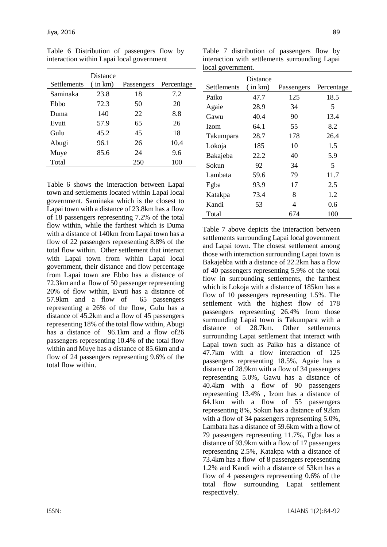| Settlements | Distance<br>(in km) | Passengers | Percentage |
|-------------|---------------------|------------|------------|
|             |                     |            |            |
| Saminaka    | 23.8                | 18         | 7.2        |
| Ebbo        | 72.3                | 50         | 20         |
| Duma        | 140                 | 22         | 8.8        |
| Evuti       | 57.9                | 65         | 26         |
| Gulu        | 45.2                | 45         | 18         |
| Abugi       | 96.1                | 26         | 10.4       |
| Muye        | 85.6                | 24         | 9.6        |
| Total       |                     | 250        | 100        |

Table 6 Distribution of passengers flow by interaction within Lapai local government

Table 6 shows the interaction between Lapai town and settlements located within Lapai local government. Saminaka which is the closest to Lapai town with a distance of 23.8km has a flow of 18 passengers representing 7.2% of the total flow within, while the farthest which is Duma with a distance of 140km from Lapai town has a flow of 22 passengers representing 8.8% of the total flow within. Other settlement that interact with Lapai town from within Lapai local government, their distance and flow percentage from Lapai town are Ebbo has a distance of 72.3km and a flow of 50 passenger representing 20% of flow within, Evuti has a distance of 57.9km and a flow of 65 passengers representing a 26% of the flow, Gulu has a distance of 45.2km and a flow of 45 passengers representing 18% of the total flow within, Abugi has a distance of 96.1km and a flow of26 passengers representing 10.4% of the total flow within and Muye has a distance of 85.6km and a flow of 24 passengers representing 9.6% of the total flow within.

| interaction with settlements surrounding Lapai |          |            |            |  |
|------------------------------------------------|----------|------------|------------|--|
| local government.                              |          |            |            |  |
|                                                | Distance |            |            |  |
| Settlements                                    | in km)   | Passengers | Percentage |  |
| Paiko                                          | 47.7     | 125        | 18.5       |  |
| Agaie                                          | 28.9     | 34         | 5          |  |
| Gawu                                           | 40.4     | 90         | 13.4       |  |
| Izom                                           | 64.1     | 55         | 8.2        |  |
| Takumpara                                      | 28.7     | 178        | 26.4       |  |
| Lokoja                                         | 185      | 10         | 1.5        |  |
| Bakajeba                                       | 22.2     | 40         | 5.9        |  |
| Sokun                                          | 92       | 34         | 5          |  |
| Lambata                                        | 59.6     | 79         | 11.7       |  |
| Egba                                           | 93.9     | 17         | 2.5        |  |
| Katakpa                                        | 73.4     | 8          | 1.2        |  |
| Kandi                                          | 53       | 4          | 0.6        |  |

Total 674 100

Table 7 distribution of passengers flow by

Table 7 above depicts the interaction between settlements surrounding Lapai local government and Lapai town. The closest settlement among those with interaction surrounding Lapai town is Bakajebba with a distance of 22.2km has a flow of 40 passengers representing 5.9% of the total flow in surrounding settlements, the farthest which is Lokoja with a distance of 185km has a flow of 10 passengers representing 1.5%. The settlement with the highest flow of 178 passengers representing 26.4% from those surrounding Lapai town is Takumpara with a distance of 28.7km. Other settlements surrounding Lapai settlement that interact with Lapai town such as Paiko has a distance of 47.7km with a flow interaction of 125 passengers representing 18.5%, Agaie has a distance of 28.9km with a flow of 34 passengers representing 5.0%, Gawu has a distance of 40.4km with a flow of 90 passengers representing 13.4% , Izom has a distance of 64.1km with a flow of 55 passengers representing 8%, Sokun has a distance of 92km with a flow of 34 passengers representing 5.0%, Lambata has a distance of 59.6km with a flow of 79 passengers representing 11.7%, Egba has a distance of 93.9km with a flow of 17 passengers representing 2.5%, Katakpa with a distance of 73.4km has a flow of 8 passengers representing 1.2% and Kandi with a distance of 53km has a flow of 4 passengers representing 0.6% of the total flow surrounding Lapai settlement respectively.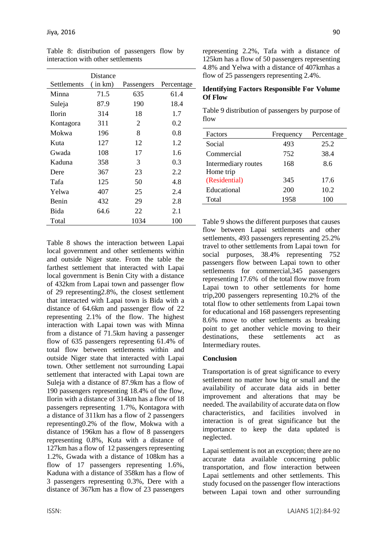| Distance |            |            |
|----------|------------|------------|
| in km)   | Passengers | Percentage |
| 71.5     | 635        | 61.4       |
| 87.9     | 190        | 18.4       |
| 314      | 18         | 1.7        |
| 311      | 2          | 0.2        |
| 196      | 8          | 0.8        |
| 127      | 12         | 1.2        |
| 108      | 17         | 1.6        |
| 358      | 3          | 0.3        |
| 367      | 23         | 2.2        |
| 125      | 50         | 4.8        |
| 407      | 25         | 2.4        |
| 432      | 29         | 2.8        |
| 64.6     | 22         | 2.1        |
|          | 1034       | 100        |
|          |            |            |

Table 8: distribution of passengers flow by interaction with other settlements

Table 8 shows the interaction between Lapai local government and other settlements within and outside Niger state. From the table the farthest settlement that interacted with Lapai local government is Benin City with a distance of 432km from Lapai town and passenger flow of 29 representing2.8%, the closest settlement that interacted with Lapai town is Bida with a distance of 64.6km and passenger flow of 22 representing 2.1% of the flow. The highest interaction with Lapai town was with Minna from a distance of 71.5km having a passenger flow of 635 passengers representing 61.4% of total flow between settlements within and outside Niger state that interacted with Lapai town. Other settlement not surrounding Lapai settlement that interacted with Lapai town are Suleja with a distance of 87.9km has a flow of 190 passengers representing 18.4% of the flow, Ilorin with a distance of 314km has a flow of 18 passengers representing 1.7%, Kontagora with a distance of 311km has a flow of 2 passengers representing0.2% of the flow, Mokwa with a distance of 196km has a flow of 8 passengers representing 0.8%, Kuta with a distance of 127km has a flow of 12 passengers representing 1.2%, Gwada with a distance of 108km has a flow of 17 passengers representing 1.6%, Kaduna with a distance of 358km has a flow of 3 passengers representing 0.3%, Dere with a distance of 367km has a flow of 23 passengers

representing 2.2%, Tafa with a distance of 125km has a flow of 50 passengers representing 4.8% and Yelwa with a distance of 407kmhas a flow of 25 passengers representing 2.4%.

#### **Identifying Factors Responsible For Volume Of Flow**

|      |  | Table 9 distribution of passengers by purpose of |
|------|--|--------------------------------------------------|
| flow |  |                                                  |

| Factors             | Frequency | Percentage |
|---------------------|-----------|------------|
| Social              | 493       | 25.2       |
| Commercial          | 752       | 38.4       |
| Intermediary routes | 168       | 8.6        |
| Home trip           |           |            |
| (Residential)       | 345       | 17.6       |
| Educational         | 200       | 10.2       |
| Total               | 1958      | 100        |
|                     |           |            |

Table 9 shows the different purposes that causes flow between Lapai settlements and other settlements, 493 passengers representing 25.2% travel to other settlements from Lapai town for social purposes, 38.4% representing 752 passengers flow between Lapai town to other settlements for commercial,345 passengers representing 17.6% of the total flow move from Lapai town to other settlements for home trip,200 passengers representing 10.2% of the total flow to other settlements from Lapai town for educational and 168 passengers representing 8.6% move to other settlements as breaking point to get another vehicle moving to their destinations, these settlements act as Intermediary routes.

## **Conclusion**

Transportation is of great significance to every settlement no matter how big or small and the availability of accurate data aids in better improvement and alterations that may be needed. The availability of accurate data on flow characteristics, and facilities involved in interaction is of great significance but the importance to keep the data updated is neglected.

Lapai settlement is not an exception; there are no accurate data available concerning public transportation, and flow interaction between Lapai settlements and other settlements. This study focused on the passenger flow interactions between Lapai town and other surrounding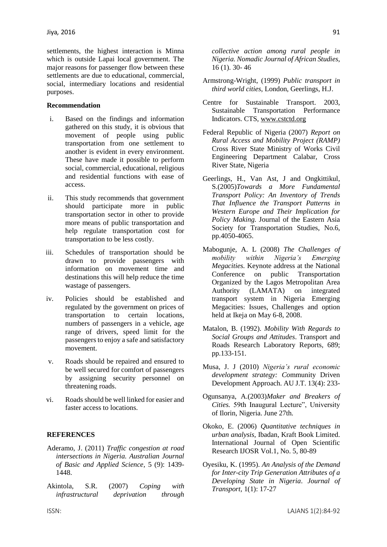settlements, the highest interaction is Minna which is outside Lapai local government. The major reasons for passenger flow between these settlements are due to educational, commercial, social, intermediary locations and residential purposes.

#### **Recommendation**

- i. Based on the findings and information gathered on this study, it is obvious that movement of people using public transportation from one settlement to another is evident in every environment. These have made it possible to perform social, commercial, educational, religious and residential functions with ease of access.
- ii. This study recommends that government should participate more in public transportation sector in other to provide more means of public transportation and help regulate transportation cost for transportation to be less costly.
- iii. Schedules of transportation should be drawn to provide passengers with information on movement time and destinations this will help reduce the time wastage of passengers.
- iv. Policies should be established and regulated by the government on prices of transportation to certain locations, numbers of passengers in a vehicle, age range of drivers, speed limit for the passengers to enjoy a safe and satisfactory movement.
- v. Roads should be repaired and ensured to be well secured for comfort of passengers by assigning security personnel on threatening roads.
- vi. Roads should be well linked for easier and faster access to locations.

#### **REFERENCES**

- Aderamo, J. (2011) *Traffic congestion at road intersections in Nigeria. Australian Journal of Basic and Applied Science,* 5 (9): 1439- 1448.
- Akintola, S.R. (2007) *Coping with infrastructural deprivation through*

*collective action among rural people in Nigeria. Nomadic Journal of African Studies,*  16 (1). 30- 46

- Armstrong-Wright, (1999) *Public transport in third world cities*, London, Geerlings, H.J.
- Centre for Sustainable Transport. 2003, Sustainable Transportation Performance Indicators. CTS, [www.cstctd.org](http://www.cstctd.org/)
- Federal Republic of Nigeria (2007) *Report on Rural Access and Mobility Project (RAMP)*  Cross River State Ministry of Works Civil Engineering Department Calabar, Cross River State, Nigeria
- Geerlings, H., Van Ast, J and Ongkittikul, S.(2005)*Towards a More Fundamental Transport Policy: An Inventory of Trends That Influence the Transport Patterns in Western Europe and Their Implication for Policy Making.* Journal of the Eastern Asia Society for Transportation Studies, No.6, pp.4050-4065.
- Mabogunje, A. L (2008) *The Challenges of mobility within Nigeria's Emerging Megacities.* Keynote address at the National Conference on public Transportation Organized by the Lagos Metropolitan Area Authority (LAMATA) on integrated transport system in Nigeria Emerging Megacities: Issues, Challenges and option held at Ikeja on May 6-8, 2008.
- Matalon, B. (1992). *Mobility With Regards to Social Groups and Attitudes*. Transport and Roads Research Laboratory Reports, 689; pp.133-151.
- Musa, J. J (2010) *Nigeria's rural economic development strategy: Co*mmunity Driven Development Approach. AU J.T. 13(4): 233-
- Ogunsanya, A.(2003)*Maker and Breakers of Cities.* 59th Inaugural Lecture", University of Ilorin, Nigeria. June 27th.
- Okoko, E. (2006) *Quantitative techniques in urban analysis,* Ibadan, Kraft Book Limited. International Journal of Open Scientific Research IJOSR Vol.1, No. 5, 80-89
- Oyesiku, K. (1995). *An Analysis of the Demand for Inter-city Trip Generation Attributes of a Developing State in Nigeria*. *Journal of Transport,* 1(1): 17-27